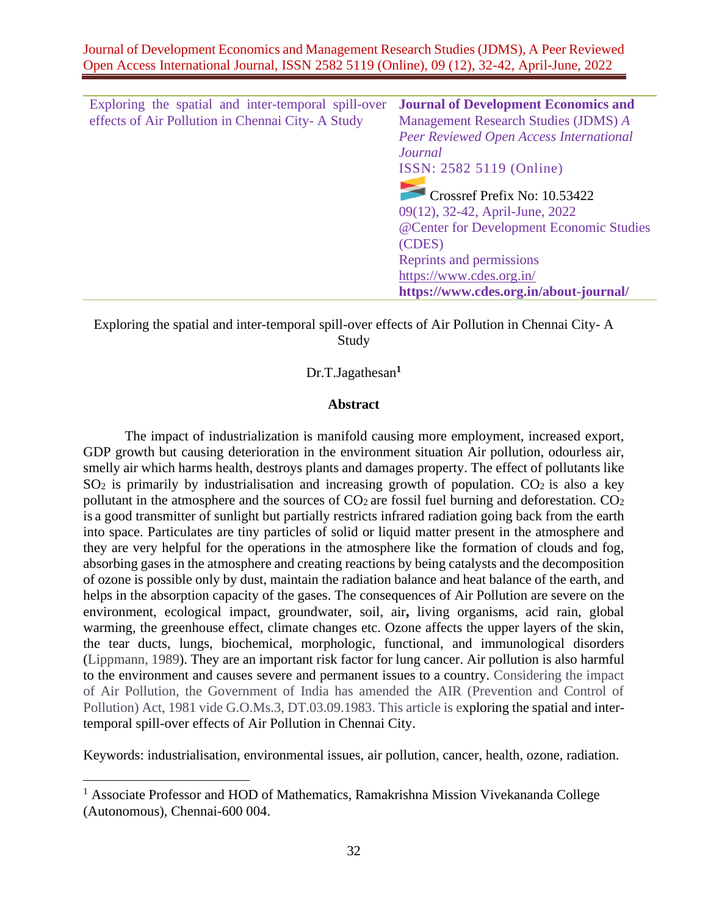| Exploring the spatial and inter-temporal spill-over | <b>Journal of Development Economics and</b> |
|-----------------------------------------------------|---------------------------------------------|
| effects of Air Pollution in Chennai City-A Study    | Management Research Studies (JDMS) A        |
|                                                     | Peer Reviewed Open Access International     |
|                                                     | Journal                                     |
|                                                     | ISSN: 2582 5119 (Online)                    |
|                                                     |                                             |
|                                                     | Crossref Prefix No: 10.53422                |
|                                                     | 09(12), 32-42, April-June, 2022             |
|                                                     | @Center for Development Economic Studies    |
|                                                     | (CDES)                                      |
|                                                     | Reprints and permissions                    |
|                                                     | https://www.cdes.org.in/                    |
|                                                     | https://www.cdes.org.in/about-journal/      |

Exploring the spatial and inter-temporal spill-over effects of Air Pollution in Chennai City- A Study

## Dr.T.Jagathesan**<sup>1</sup>**

#### **Abstract**

The impact of industrialization is manifold causing more employment, increased export, GDP growth but causing deterioration in the environment situation Air pollution, odourless air, smelly air which harms health, destroys plants and damages property. The effect of pollutants like  $SO<sub>2</sub>$  is primarily by industrialisation and increasing growth of population.  $CO<sub>2</sub>$  is also a key pollutant in the atmosphere and the sources of  $CO<sub>2</sub>$  are fossil fuel burning and deforestation.  $CO<sub>2</sub>$ is a good transmitter of sunlight but partially restricts infrared radiation going back from the earth into space. Particulates are tiny particles of solid or liquid matter present in the atmosphere and they are very helpful for the operations in the atmosphere like the formation of clouds and fog, absorbing gases in the atmosphere and creating reactions by being catalysts and the decomposition of ozone is possible only by dust, maintain the radiation balance and heat balance of the earth, and helps in the absorption capacity of the gases. The consequences of Air Pollution are severe on the environment, ecological impact, groundwater, soil, air**,** living organisms, acid rain, global warming, the greenhouse effect, climate changes etc. Ozone affects the upper layers of the skin, the tear ducts, lungs, biochemical, morphologic, functional, and immunological disorders (Lippmann, 1989). They are an important risk factor for lung cancer. Air pollution is also harmful to the environment and causes severe and permanent issues to a country. Considering the impact of Air Pollution, the Government of India has amended the AIR (Prevention and Control of Pollution) Act, 1981 vide G.O.Ms.3, DT.03.09.1983. This article is exploring the spatial and intertemporal spill-over effects of Air Pollution in Chennai City.

Keywords: industrialisation, environmental issues, air pollution, cancer, health, ozone, radiation.

<sup>&</sup>lt;sup>1</sup> Associate Professor and HOD of Mathematics, Ramakrishna Mission Vivekananda College (Autonomous), Chennai-600 004.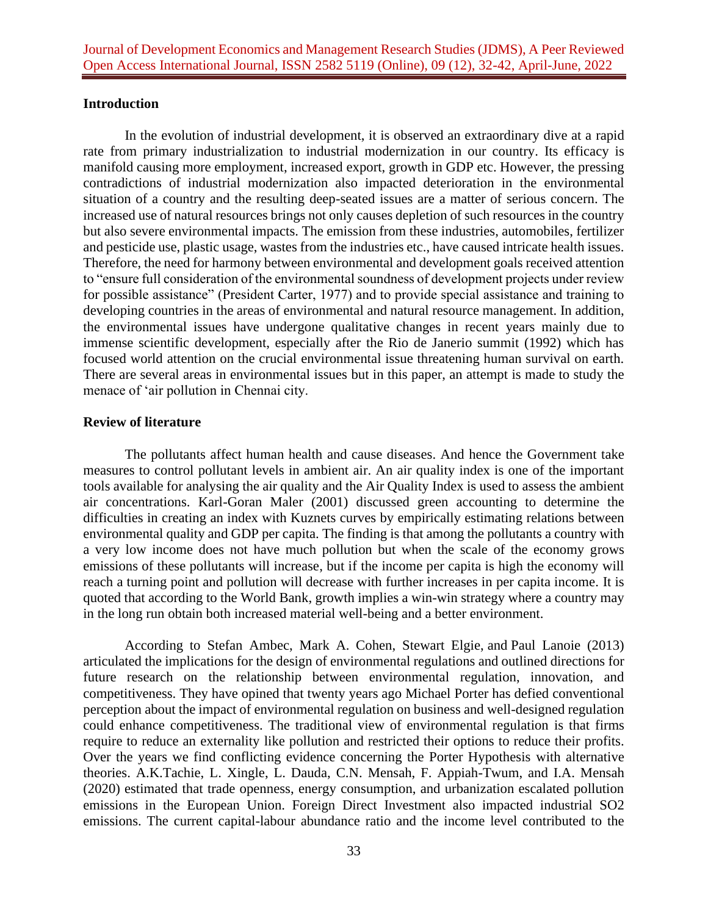#### **Introduction**

In the evolution of industrial development, it is observed an extraordinary dive at a rapid rate from primary industrialization to industrial modernization in our country. Its efficacy is manifold causing more employment, increased export, growth in GDP etc. However, the pressing contradictions of industrial modernization also impacted deterioration in the environmental situation of a country and the resulting deep-seated issues are a matter of serious concern. The increased use of natural resources brings not only causes depletion of such resources in the country but also severe environmental impacts. The emission from these industries, automobiles, fertilizer and pesticide use, plastic usage, wastes from the industries etc., have caused intricate health issues. Therefore, the need for harmony between environmental and development goals received attention to "ensure full consideration of the environmental soundness of development projects under review for possible assistance" (President Carter, 1977) and to provide special assistance and training to developing countries in the areas of environmental and natural resource management. In addition, the environmental issues have undergone qualitative changes in recent years mainly due to immense scientific development, especially after the Rio de Janerio summit (1992) which has focused world attention on the crucial environmental issue threatening human survival on earth. There are several areas in environmental issues but in this paper, an attempt is made to study the menace of 'air pollution in Chennai city.

### **Review of literature**

The pollutants affect human health and cause diseases. And hence the Government take measures to control pollutant levels in ambient air. An air quality index is one of the important tools available for analysing the air quality and the Air Quality Index is used to assess the ambient air concentrations. Karl-Goran Maler (2001) discussed green accounting to determine the difficulties in creating an index with Kuznets curves by empirically estimating relations between environmental quality and GDP per capita. The finding is that among the pollutants a country with a very low income does not have much pollution but when the scale of the economy grows emissions of these pollutants will increase, but if the income per capita is high the economy will reach a turning point and pollution will decrease with further increases in per capita income. It is quoted that according to the World Bank, growth implies a win-win strategy where a country may in the long run obtain both increased material well-being and a better environment.

According to [Stefan Ambec,](https://www.journals.uchicago.edu/doi/abs/10.1093/reep/res016?journalCode=reep) [Mark A. Cohen,](https://www.journals.uchicago.edu/doi/abs/10.1093/reep/res016?journalCode=reep) [Stewart Elgie,](https://www.journals.uchicago.edu/doi/abs/10.1093/reep/res016?journalCode=reep) and [Paul Lanoie](https://www.journals.uchicago.edu/doi/abs/10.1093/reep/res016?journalCode=reep) (2013) articulated the implications for the design of environmental regulations and outlined directions for future research on the relationship between environmental regulation, innovation, and competitiveness. They have opined that twenty years ago Michael Porter has defied conventional perception about the impact of environmental regulation on business and well-designed regulation could enhance competitiveness. The traditional view of environmental regulation is that firms require to reduce an externality like pollution and restricted their options to reduce their profits. Over the years we find conflicting evidence concerning the Porter Hypothesis with alternative theories. A.K.Tachie, L. Xingle, L. Dauda, C.N. Mensah, F. Appiah-Twum, and I.A. Mensah (2020) estimated that trade openness, energy consumption, and urbanization escalated pollution emissions in the European Union. Foreign Direct Investment also impacted industrial SO2 emissions. The current capital-labour abundance ratio and the income level contributed to the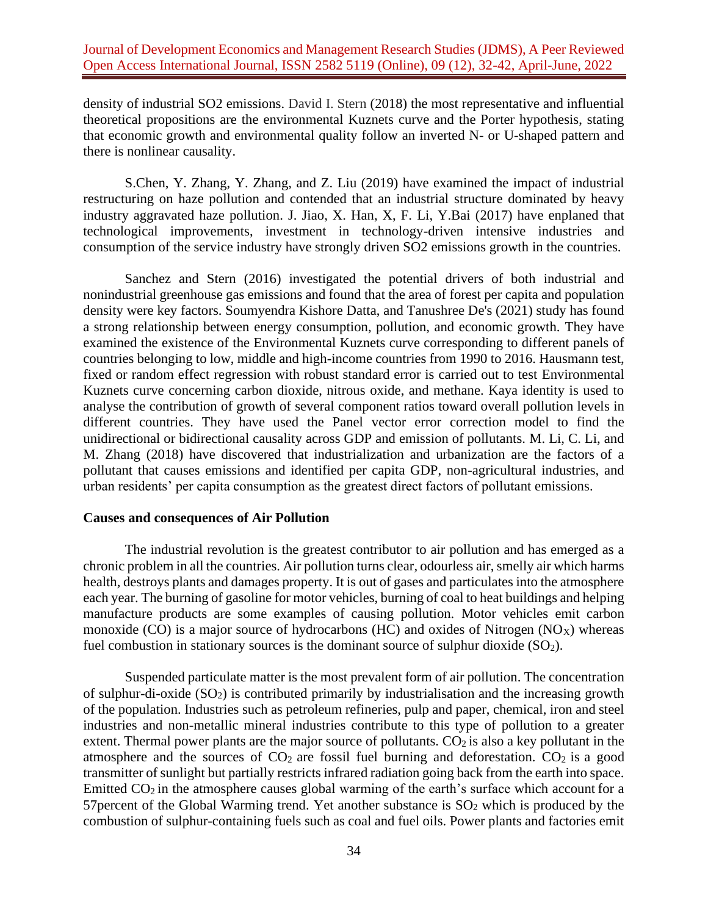density of industrial SO2 emissions. David I. Stern (2018) the most representative and influential theoretical propositions are the environmental Kuznets curve and the Porter hypothesis, stating that economic growth and environmental quality follow an inverted N- or U-shaped pattern and there is nonlinear causality.

S.Chen, Y. Zhang, Y. Zhang, and Z. Liu (2019) have examined the impact of industrial restructuring on haze pollution and contended that an industrial structure dominated by heavy industry aggravated haze pollution. J. Jiao, X. Han, X, F. Li, Y.Bai (2017) have enplaned that technological improvements, investment in technology-driven intensive industries and consumption of the service industry have strongly driven SO2 emissions growth in the countries.

Sanchez and Stern (2016) investigated the potential drivers of both industrial and nonindustrial greenhouse gas emissions and found that the area of forest per capita and population density were key factors. Soumyendra Kishore Datta, and Tanushree De's (2021) study has found a strong relationship between energy consumption, pollution, and economic growth. They have examined the existence of the Environmental Kuznets curve corresponding to different panels of countries belonging to low, middle and high-income countries from 1990 to 2016. Hausmann test, fixed or random effect regression with robust standard error is carried out to test Environmental Kuznets curve concerning carbon dioxide, nitrous oxide, and methane. Kaya identity is used to analyse the contribution of growth of several component ratios toward overall pollution levels in different countries. They have used the Panel vector error correction model to find the unidirectional or bidirectional causality across GDP and emission of pollutants. M. Li, C. Li, and M. Zhang (2018) have discovered that industrialization and urbanization are the factors of a pollutant that causes emissions and identified per capita GDP, non-agricultural industries, and urban residents' per capita consumption as the greatest direct factors of pollutant emissions.

#### **Causes and consequences of Air Pollution**

The industrial revolution is the greatest contributor to air pollution and has emerged as a chronic problem in all the countries. Air pollution turns clear, odourless air, smelly air which harms health, destroys plants and damages property. It is out of gases and particulates into the atmosphere each year. The burning of gasoline for motor vehicles, burning of coal to heat buildings and helping manufacture products are some examples of causing pollution. Motor vehicles emit carbon monoxide (CO) is a major source of hydrocarbons (HC) and oxides of Nitrogen (NO<sub>X</sub>) whereas fuel combustion in stationary sources is the dominant source of sulphur dioxide  $(SO<sub>2</sub>)$ .

Suspended particulate matter is the most prevalent form of air pollution. The concentration of sulphur-di-oxide  $(SO_2)$  is contributed primarily by industrialisation and the increasing growth of the population. Industries such as petroleum refineries, pulp and paper, chemical, iron and steel industries and non-metallic mineral industries contribute to this type of pollution to a greater extent. Thermal power plants are the major source of pollutants.  $CO<sub>2</sub>$  is also a key pollutant in the atmosphere and the sources of  $CO<sub>2</sub>$  are fossil fuel burning and deforestation.  $CO<sub>2</sub>$  is a good transmitter of sunlight but partially restricts infrared radiation going back from the earth into space. Emitted  $CO<sub>2</sub>$  in the atmosphere causes global warming of the earth's surface which account for a 57 percent of the Global Warming trend. Yet another substance is  $SO<sub>2</sub>$  which is produced by the combustion of sulphur-containing fuels such as coal and fuel oils. Power plants and factories emit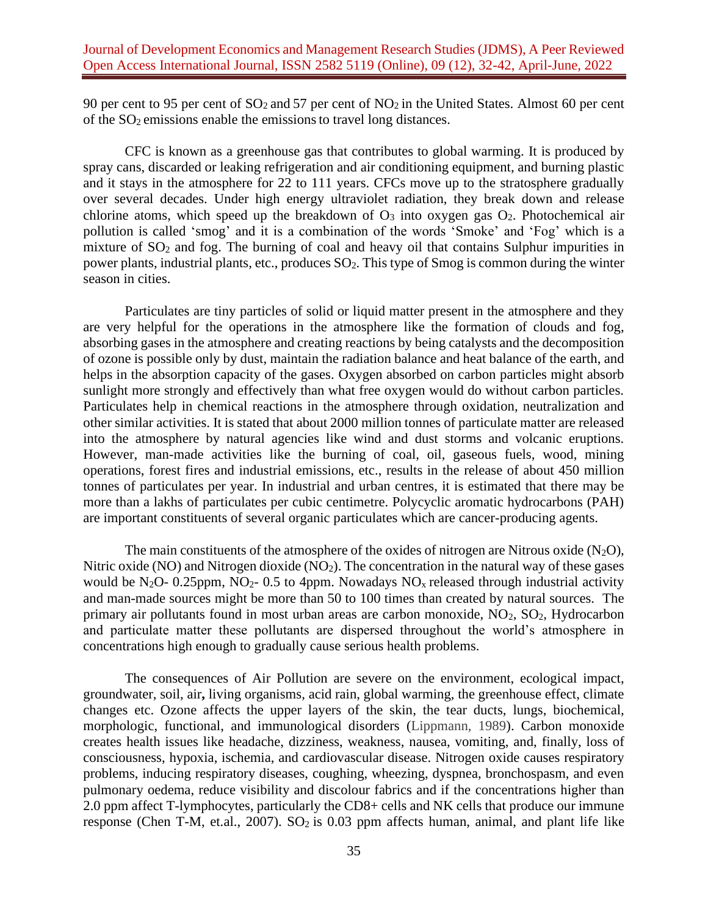90 per cent to 95 per cent of  $SO_2$  and 57 per cent of  $NO_2$  in the United States. Almost 60 per cent of the SO2 emissions enable the emissionsto travel long distances.

CFC is known as a greenhouse gas that contributes to global warming. It is produced by spray cans, discarded or leaking refrigeration and air conditioning equipment, and burning plastic and it stays in the atmosphere for 22 to 111 years. CFCs move up to the stratosphere gradually over several decades. Under high energy ultraviolet radiation, they break down and release chlorine atoms, which speed up the breakdown of  $O_3$  into oxygen gas  $O_2$ . Photochemical air pollution is called 'smog' and it is a combination of the words 'Smoke' and 'Fog' which is a mixture of SO<sub>2</sub> and fog. The burning of coal and heavy oil that contains Sulphur impurities in power plants, industrial plants, etc., produces  $SO_2$ . This type of Smog is common during the winter season in cities.

Particulates are tiny particles of solid or liquid matter present in the atmosphere and they are very helpful for the operations in the atmosphere like the formation of clouds and fog, absorbing gases in the atmosphere and creating reactions by being catalysts and the decomposition of ozone is possible only by dust, maintain the radiation balance and heat balance of the earth, and helps in the absorption capacity of the gases. Oxygen absorbed on carbon particles might absorb sunlight more strongly and effectively than what free oxygen would do without carbon particles. Particulates help in chemical reactions in the atmosphere through oxidation, neutralization and other similar activities. It is stated that about 2000 million tonnes of particulate matter are released into the atmosphere by natural agencies like wind and dust storms and volcanic eruptions. However, man-made activities like the burning of coal, oil, gaseous fuels, wood, mining operations, forest fires and industrial emissions, etc., results in the release of about 450 million tonnes of particulates per year. In industrial and urban centres, it is estimated that there may be more than a lakhs of particulates per cubic centimetre. Polycyclic aromatic hydrocarbons (PAH) are important constituents of several organic particulates which are cancer-producing agents.

The main constituents of the atmosphere of the oxides of nitrogen are Nitrous oxide  $(N_2O)$ , Nitric oxide (NO) and Nitrogen dioxide (NO<sub>2</sub>). The concentration in the natural way of these gases would be N<sub>2</sub>O- 0.25ppm, NO<sub>2</sub>- 0.5 to 4ppm. Nowadays NO<sub>x</sub> released through industrial activity and man-made sources might be more than 50 to 100 times than created by natural sources. The primary air pollutants found in most urban areas are carbon monoxide, NO2, SO2, Hydrocarbon and particulate matter these pollutants are dispersed throughout the world's atmosphere in concentrations high enough to gradually cause serious health problems.

The consequences of Air Pollution are severe on the environment, ecological impact, groundwater, soil, air**,** living organisms, acid rain, global warming, the greenhouse effect, climate changes etc. Ozone affects the upper layers of the skin, the tear ducts, lungs, biochemical, morphologic, functional, and immunological disorders (Lippmann, 1989). Carbon monoxide creates health issues like headache, dizziness, weakness, nausea, vomiting, and, finally, loss of consciousness, hypoxia, ischemia, and cardiovascular disease. Nitrogen oxide causes respiratory problems, inducing respiratory diseases, coughing, wheezing, dyspnea, bronchospasm, and even pulmonary oedema, reduce visibility and discolour fabrics and if the concentrations higher than 2.0 ppm affect T-lymphocytes, particularly the CD8+ cells and NK cells that produce our immune response (Chen T-M, et.al., 2007).  $SO_2$  is 0.03 ppm affects human, animal, and plant life like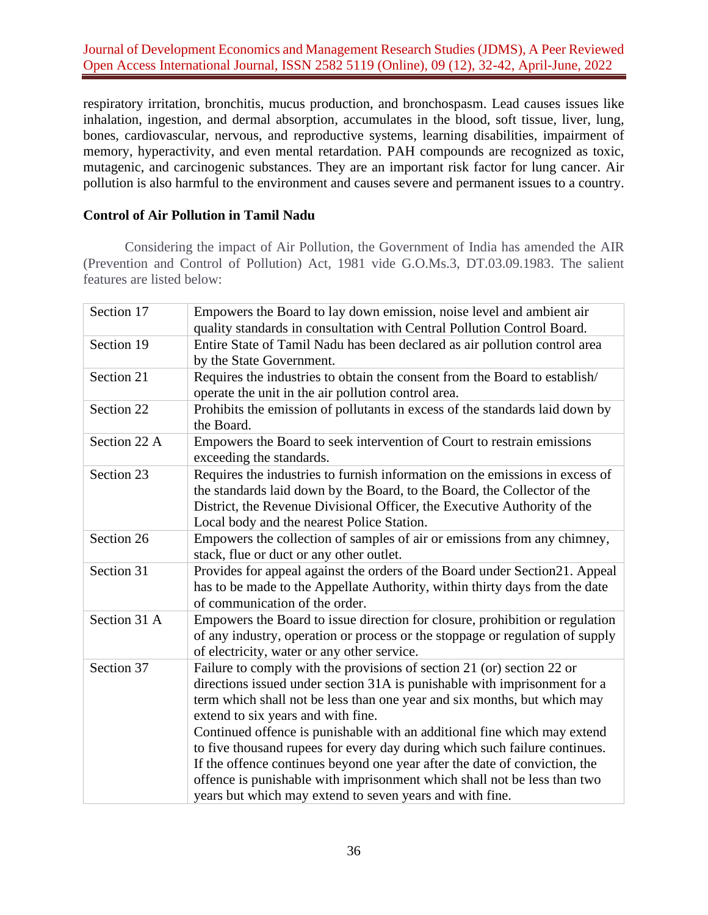Journal of Development Economics and Management Research Studies (JDMS), A Peer Reviewed Open Access International Journal, ISSN 2582 5119 (Online), 09 (12), 32-42, April-June, 2022

respiratory irritation, bronchitis, mucus production, and bronchospasm. Lead causes issues like inhalation, ingestion, and dermal absorption, accumulates in the blood, soft tissue, liver, lung, bones, cardiovascular, nervous, and reproductive systems, learning disabilities, impairment of memory, hyperactivity, and even mental retardation. PAH compounds are recognized as toxic, mutagenic, and carcinogenic substances. They are an important risk factor for lung cancer. Air pollution is also harmful to the environment and causes severe and permanent issues to a country.

## **Control of Air Pollution in Tamil Nadu**

Considering the impact of Air Pollution, the Government of India has amended the AIR (Prevention and Control of Pollution) Act, 1981 vide G.O.Ms.3, DT.03.09.1983. The salient features are listed below:

| Section 17   | Empowers the Board to lay down emission, noise level and ambient air<br>quality standards in consultation with Central Pollution Control Board.                                                                                                                                                                                                                                                                                                                                                                                                                                                                                                       |
|--------------|-------------------------------------------------------------------------------------------------------------------------------------------------------------------------------------------------------------------------------------------------------------------------------------------------------------------------------------------------------------------------------------------------------------------------------------------------------------------------------------------------------------------------------------------------------------------------------------------------------------------------------------------------------|
| Section 19   | Entire State of Tamil Nadu has been declared as air pollution control area<br>by the State Government.                                                                                                                                                                                                                                                                                                                                                                                                                                                                                                                                                |
| Section 21   | Requires the industries to obtain the consent from the Board to establish/<br>operate the unit in the air pollution control area.                                                                                                                                                                                                                                                                                                                                                                                                                                                                                                                     |
| Section 22   | Prohibits the emission of pollutants in excess of the standards laid down by<br>the Board.                                                                                                                                                                                                                                                                                                                                                                                                                                                                                                                                                            |
| Section 22 A | Empowers the Board to seek intervention of Court to restrain emissions<br>exceeding the standards.                                                                                                                                                                                                                                                                                                                                                                                                                                                                                                                                                    |
| Section 23   | Requires the industries to furnish information on the emissions in excess of<br>the standards laid down by the Board, to the Board, the Collector of the<br>District, the Revenue Divisional Officer, the Executive Authority of the<br>Local body and the nearest Police Station.                                                                                                                                                                                                                                                                                                                                                                    |
| Section 26   | Empowers the collection of samples of air or emissions from any chimney,<br>stack, flue or duct or any other outlet.                                                                                                                                                                                                                                                                                                                                                                                                                                                                                                                                  |
| Section 31   | Provides for appeal against the orders of the Board under Section 21. Appeal<br>has to be made to the Appellate Authority, within thirty days from the date<br>of communication of the order.                                                                                                                                                                                                                                                                                                                                                                                                                                                         |
| Section 31 A | Empowers the Board to issue direction for closure, prohibition or regulation<br>of any industry, operation or process or the stoppage or regulation of supply<br>of electricity, water or any other service.                                                                                                                                                                                                                                                                                                                                                                                                                                          |
| Section 37   | Failure to comply with the provisions of section 21 (or) section 22 or<br>directions issued under section 31A is punishable with imprisonment for a<br>term which shall not be less than one year and six months, but which may<br>extend to six years and with fine.<br>Continued offence is punishable with an additional fine which may extend<br>to five thousand rupees for every day during which such failure continues.<br>If the offence continues beyond one year after the date of conviction, the<br>offence is punishable with imprisonment which shall not be less than two<br>years but which may extend to seven years and with fine. |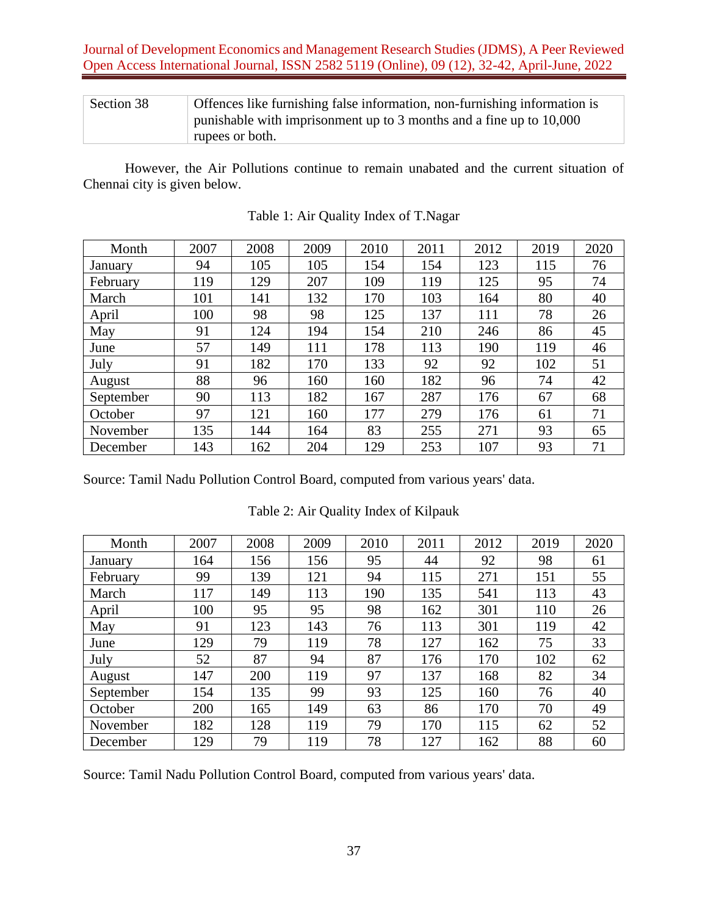| Section 38 | Offences like furnishing false information, non-furnishing information is |
|------------|---------------------------------------------------------------------------|
|            | punishable with imprisonment up to 3 months and a fine up to 10,000       |
|            | rupees or both.                                                           |

However, the Air Pollutions continue to remain unabated and the current situation of Chennai city is given below.

| Month     | 2007 | 2008 | 2009 | 2010 | 2011 | 2012 | 2019 | 2020 |
|-----------|------|------|------|------|------|------|------|------|
| January   | 94   | 105  | 105  | 154  | 154  | 123  | 115  | 76   |
| February  | 119  | 129  | 207  | 109  | 119  | 125  | 95   | 74   |
| March     | 101  | 141  | 132  | 170  | 103  | 164  | 80   | 40   |
| April     | 100  | 98   | 98   | 125  | 137  | 111  | 78   | 26   |
| May       | 91   | 124  | 194  | 154  | 210  | 246  | 86   | 45   |
| June      | 57   | 149  | 111  | 178  | 113  | 190  | 119  | 46   |
| July      | 91   | 182  | 170  | 133  | 92   | 92   | 102  | 51   |
| August    | 88   | 96   | 160  | 160  | 182  | 96   | 74   | 42   |
| September | 90   | 113  | 182  | 167  | 287  | 176  | 67   | 68   |
| October   | 97   | 121  | 160  | 177  | 279  | 176  | 61   | 71   |
| November  | 135  | 144  | 164  | 83   | 255  | 271  | 93   | 65   |
| December  | 143  | 162  | 204  | 129  | 253  | 107  | 93   | 71   |

Table 1: Air Quality Index of T.Nagar

Source: Tamil Nadu Pollution Control Board, computed from various years' data.

| Month     | 2007 | 2008 | 2009 | 2010 | 2011 | 2012 | 2019 | 2020 |
|-----------|------|------|------|------|------|------|------|------|
| January   | 164  | 156  | 156  | 95   | 44   | 92   | 98   | 61   |
| February  | 99   | 139  | 121  | 94   | 115  | 271  | 151  | 55   |
| March     | 117  | 149  | 113  | 190  | 135  | 541  | 113  | 43   |
| April     | 100  | 95   | 95   | 98   | 162  | 301  | 110  | 26   |
| May       | 91   | 123  | 143  | 76   | 113  | 301  | 119  | 42   |
| June      | 129  | 79   | 119  | 78   | 127  | 162  | 75   | 33   |
| July      | 52   | 87   | 94   | 87   | 176  | 170  | 102  | 62   |
| August    | 147  | 200  | 119  | 97   | 137  | 168  | 82   | 34   |
| September | 154  | 135  | 99   | 93   | 125  | 160  | 76   | 40   |
| October   | 200  | 165  | 149  | 63   | 86   | 170  | 70   | 49   |
| November  | 182  | 128  | 119  | 79   | 170  | 115  | 62   | 52   |
| December  | 129  | 79   | 119  | 78   | 127  | 162  | 88   | 60   |

Table 2: Air Quality Index of Kilpauk

Source: Tamil Nadu Pollution Control Board, computed from various years' data.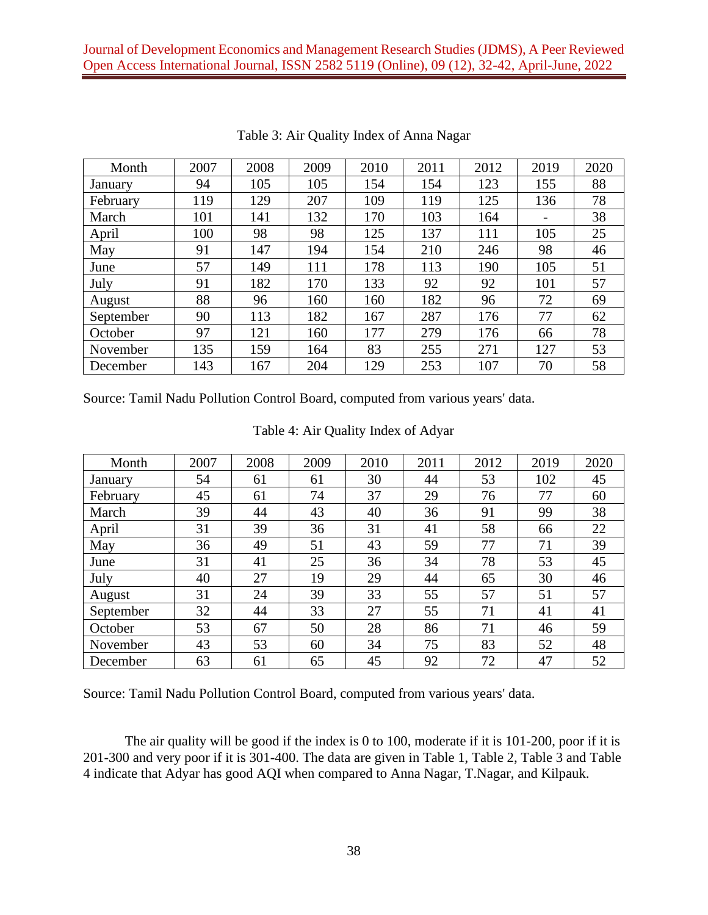| Month     | 2007 | 2008 | 2009 | 2010 | 2011 | 2012 | 2019 | 2020 |
|-----------|------|------|------|------|------|------|------|------|
| January   | 94   | 105  | 105  | 154  | 154  | 123  | 155  | 88   |
| February  | 119  | 129  | 207  | 109  | 119  | 125  | 136  | 78   |
| March     | 101  | 141  | 132  | 170  | 103  | 164  |      | 38   |
| April     | 100  | 98   | 98   | 125  | 137  | 111  | 105  | 25   |
| May       | 91   | 147  | 194  | 154  | 210  | 246  | 98   | 46   |
| June      | 57   | 149  | 111  | 178  | 113  | 190  | 105  | 51   |
| July      | 91   | 182  | 170  | 133  | 92   | 92   | 101  | 57   |
| August    | 88   | 96   | 160  | 160  | 182  | 96   | 72   | 69   |
| September | 90   | 113  | 182  | 167  | 287  | 176  | 77   | 62   |
| October   | 97   | 121  | 160  | 177  | 279  | 176  | 66   | 78   |
| November  | 135  | 159  | 164  | 83   | 255  | 271  | 127  | 53   |
| December  | 143  | 167  | 204  | 129  | 253  | 107  | 70   | 58   |

Table 3: Air Quality Index of Anna Nagar

Source: Tamil Nadu Pollution Control Board, computed from various years' data.

| Month     | 2007 | 2008 | 2009 | 2010 | 2011 | 2012 | 2019 | 2020 |
|-----------|------|------|------|------|------|------|------|------|
| January   | 54   | 61   | 61   | 30   | 44   | 53   | 102  | 45   |
| February  | 45   | 61   | 74   | 37   | 29   | 76   | 77   | 60   |
| March     | 39   | 44   | 43   | 40   | 36   | 91   | 99   | 38   |
| April     | 31   | 39   | 36   | 31   | 41   | 58   | 66   | 22   |
| May       | 36   | 49   | 51   | 43   | 59   | 77   | 71   | 39   |
| June      | 31   | 41   | 25   | 36   | 34   | 78   | 53   | 45   |
| July      | 40   | 27   | 19   | 29   | 44   | 65   | 30   | 46   |
| August    | 31   | 24   | 39   | 33   | 55   | 57   | 51   | 57   |
| September | 32   | 44   | 33   | 27   | 55   | 71   | 41   | 41   |
| October   | 53   | 67   | 50   | 28   | 86   | 71   | 46   | 59   |
| November  | 43   | 53   | 60   | 34   | 75   | 83   | 52   | 48   |
| December  | 63   | 61   | 65   | 45   | 92   | 72   | 47   | 52   |

#### Table 4: Air Quality Index of Adyar

Source: Tamil Nadu Pollution Control Board, computed from various years' data.

The air quality will be good if the index is 0 to 100, moderate if it is 101-200, poor if it is 201-300 and very poor if it is 301-400. The data are given in Table 1, Table 2, Table 3 and Table 4 indicate that Adyar has good AQI when compared to Anna Nagar, T.Nagar, and Kilpauk.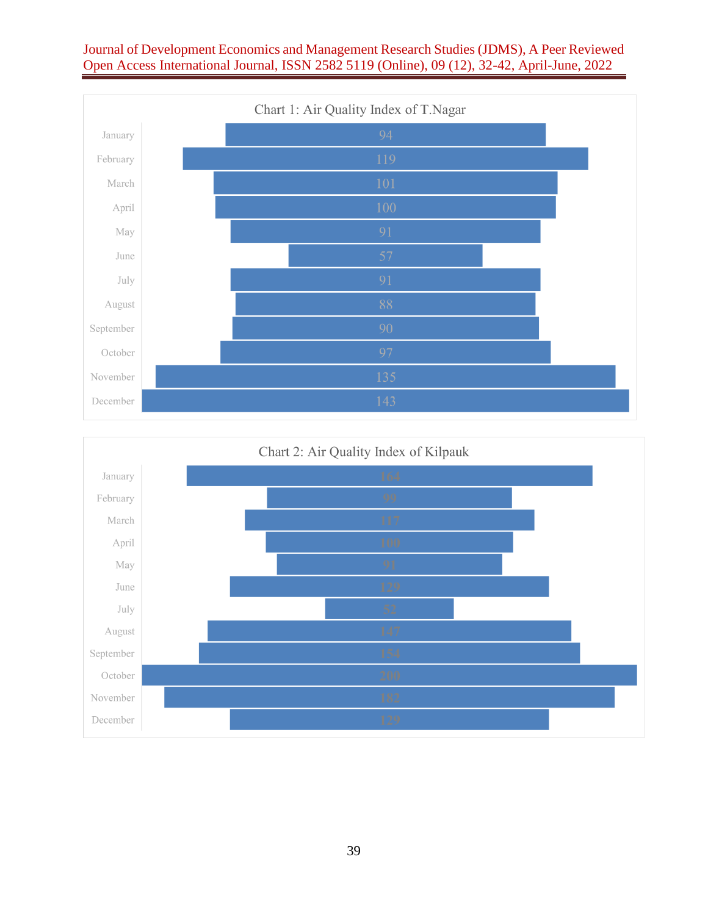# Journal of Development Economics and Management Research Studies (JDMS), A Peer Reviewed Open Access International Journal, ISSN 2582 5119 (Online), 09 (12), 32-42, April-June, 2022



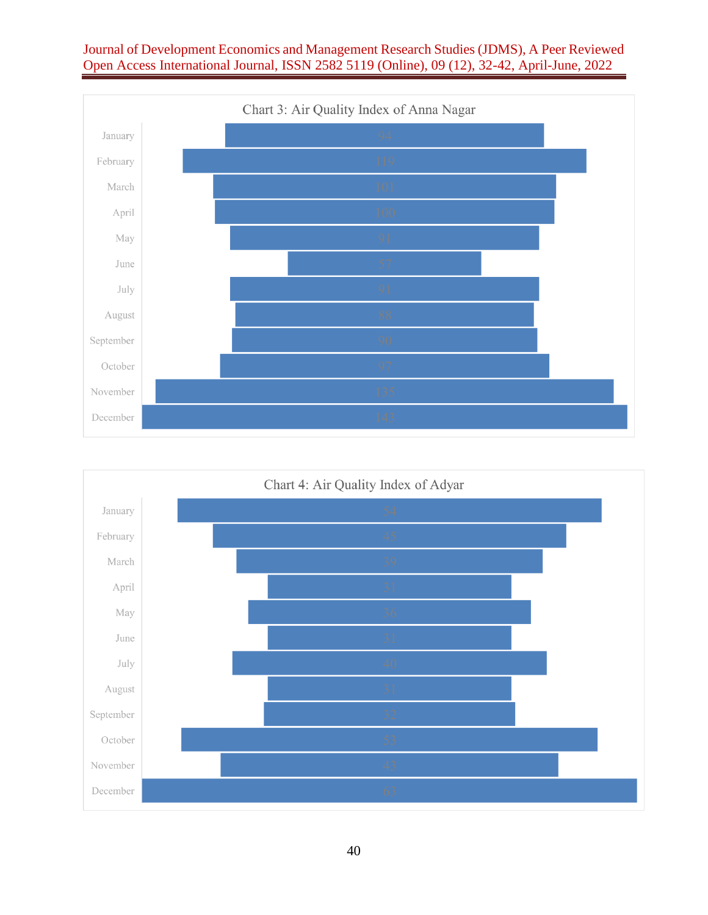# Journal of Development Economics and Management Research Studies (JDMS), A Peer Reviewed Open Access International Journal, ISSN 2582 5119 (Online), 09 (12), 32-42, April-June, 2022





40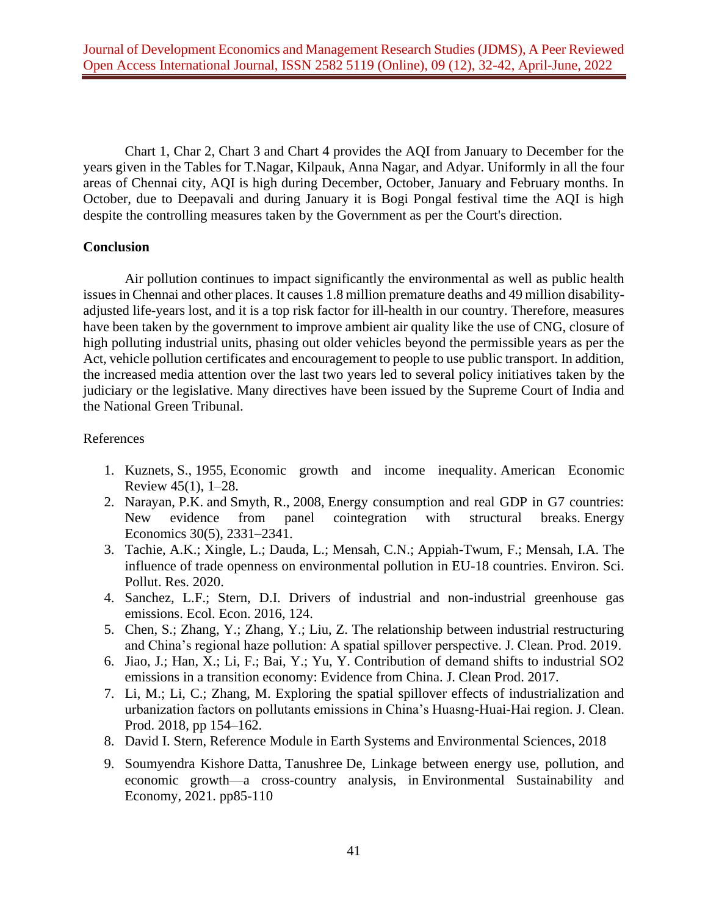Chart 1, Char 2, Chart 3 and Chart 4 provides the AQI from January to December for the years given in the Tables for T.Nagar, Kilpauk, Anna Nagar, and Adyar. Uniformly in all the four areas of Chennai city, AQI is high during December, October, January and February months. In October, due to Deepavali and during January it is Bogi Pongal festival time the AQI is high despite the controlling measures taken by the Government as per the Court's direction.

### **Conclusion**

Air pollution continues to impact significantly the environmental as well as public health issues in Chennai and other places. It causes 1.8 million premature deaths and 49 million disabilityadjusted life-years lost, and it is a top risk factor for ill-health in our country. Therefore, measures have been taken by the government to improve ambient air quality like the use of CNG, closure of high polluting industrial units, phasing out older vehicles beyond the permissible years as per the Act, vehicle pollution certificates and encouragement to people to use public transport. In addition, the increased media attention over the last two years led to several policy initiatives taken by the judiciary or the legislative. Many directives have been issued by the Supreme Court of India and the National Green Tribunal.

## References

- 1. Kuznets, S., 1955, Economic growth and income inequality. American Economic Review 45(1), 1–28.
- 2. Narayan, P.K. and Smyth, R., 2008, Energy consumption and real GDP in G7 countries: New evidence from panel cointegration with structural breaks. Energy Economics 30(5), 2331–2341.
- 3. Tachie, A.K.; Xingle, L.; Dauda, L.; Mensah, C.N.; Appiah-Twum, F.; Mensah, I.A. The influence of trade openness on environmental pollution in EU-18 countries. Environ. Sci. Pollut. Res. 2020.
- 4. Sanchez, L.F.; Stern, D.I. Drivers of industrial and non-industrial greenhouse gas emissions. Ecol. Econ. 2016, 124.
- 5. Chen, S.; Zhang, Y.; Zhang, Y.; Liu, Z. The relationship between industrial restructuring and China's regional haze pollution: A spatial spillover perspective. J. Clean. Prod. 2019.
- 6. Jiao, J.; Han, X.; Li, F.; Bai, Y.; Yu, Y. Contribution of demand shifts to industrial SO2 emissions in a transition economy: Evidence from China. J. Clean Prod. 2017.
- 7. Li, M.; Li, C.; Zhang, M. Exploring the spatial spillover effects of industrialization and urbanization factors on pollutants emissions in China's Huasng-Huai-Hai region. J. Clean. Prod. 2018, pp 154–162.
- 8. David I. Stern, [Reference Module in Earth Systems and Environmental Sciences,](https://www.sciencedirect.com/referencework/9780124095489/reference-module-in-earth-systems-and-environmental-sciences) 2018
- 9. Soumyendra Kishore Datta, Tanushree De, [Linkage between energy use, pollution, and](https://www.sciencedirect.com/science/article/pii/B9780128221884000014)  [economic growth—a cross-country analysis,](https://www.sciencedirect.com/science/article/pii/B9780128221884000014) in [Environmental Sustainability and](https://www.sciencedirect.com/book/9780128221884/environmental-sustainability-and-economy)  [Economy,](https://www.sciencedirect.com/book/9780128221884/environmental-sustainability-and-economy) 2021. pp85-110